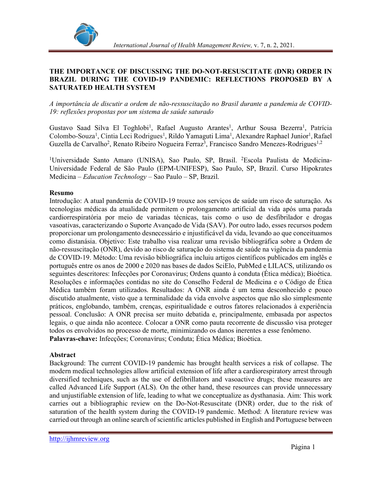

## THE IMPORTANCE OF DISCUSSING THE DO-NOT-RESUSCITATE (DNR) ORDER IN BRAZIL DURING THE COVID-19 PANDEMIC: REFLECTIONS PROPOSED BY A SATURATED HEALTH SYSTEM

A importância de discutir a ordem de não-ressuscitação no Brasil durante a pandemia de COVID-19: reflexões propostas por um sistema de saúde saturado

Gustavo Saad Silva El Toghlobi<sup>1</sup>, Rafael Augusto Arantes<sup>1</sup>, Arthur Sousa Bezerra<sup>1</sup>, Patrícia Colombo-Souza<sup>1</sup>, Cíntia Leci Rodrigues<sup>1</sup>, Rildo Yamaguti Lima<sup>1</sup>, Alexandre Raphael Junior<sup>1</sup>, Rafael Guzella de Carvalho<sup>2</sup>, Renato Ribeiro Nogueira Ferraz<sup>3</sup>, Francisco Sandro Menezes-Rodrigues<sup>1,2</sup>

<sup>1</sup>Universidade Santo Amaro (UNISA), Sao Paulo, SP, Brasil. <sup>2</sup>Escola Paulista de Medicina-Universidade Federal de São Paulo (EPM-UNIFESP), Sao Paulo, SP, Brazil. Curso Hipokrates Medicina – *Education Technology* – Sao Paulo – SP, Brazil.

### Resumo

Introdução: A atual pandemia de COVID-19 trouxe aos serviços de saúde um risco de saturação. As tecnologias médicas da atualidade permitem o prolongamento artificial da vida após uma parada cardiorrespiratória por meio de variadas técnicas, tais como o uso de desfibrilador e drogas vasoativas, caracterizando o Suporte Avançado de Vida (SAV). Por outro lado, esses recursos podem proporcionar um prolongamento desnecessário e injustificável da vida, levando ao que conceituamos como distanásia. Objetivo: Este trabalho visa realizar uma revisão bibliográfica sobre a Ordem de não-ressuscitação (ONR), devido ao risco de saturação do sistema de saúde na vigência da pandemia de COVID-19. Método: Uma revisão bibliográfica incluiu artigos científicos publicados em inglês e português entre os anos de 2000 e 2020 nas bases de dados SciElo, PubMed e LILACS, utilizando os seguintes descritores: Infecções por Coronavirus; Ordens quanto à conduta (Ética médica); Bioética. Resoluções e informações contidas no site do Conselho Federal de Medicina e o Código de Ética Médica também foram utilizados. Resultados: A ONR ainda é um tema desconhecido e pouco discutido atualmente, visto que a terminalidade da vida envolve aspectos que não são simplesmente práticos, englobando, também, crenças, espiritualidade e outros fatores relacionados à experiência pessoal. Conclusão: A ONR precisa ser muito debatida e, principalmente, embasada por aspectos legais, o que ainda não acontece. Colocar a ONR como pauta recorrente de discussão visa proteger todos os envolvidos no processo de morte, minimizando os danos inerentes a esse fenômeno. Palavras-chave: Infecções; Coronavírus; Conduta; Ética Médica; Bioética.

#### Abstract

Background: The current COVID-19 pandemic has brought health services a risk of collapse. The modern medical technologies allow artificial extension of life after a cardiorespiratory arrest through diversified techniques, such as the use of defibrillators and vasoactive drugs; these measures are called Advanced Life Support (ALS). On the other hand, these resources can provide unnecessary and unjustifiable extension of life, leading to what we conceptualize as dysthanasia. Aim: This work carries out a bibliographic review on the Do-Not-Resuscitate (DNR) order, due to the risk of saturation of the health system during the COVID-19 pandemic. Method: A literature review was carried out through an online search of scientific articles published in English and Portuguese between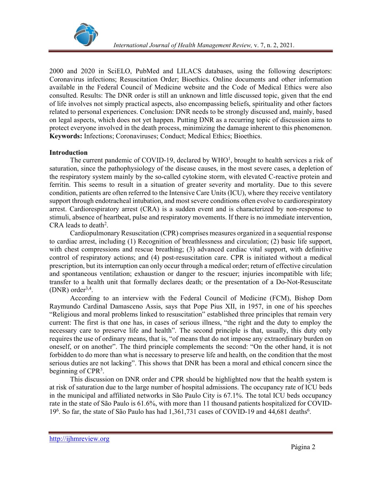

2000 and 2020 in SciELO, PubMed and LILACS databases, using the following descriptors: Coronavirus infections; Resuscitation Order; Bioethics. Online documents and other information available in the Federal Council of Medicine website and the Code of Medical Ethics were also consulted. Results: The DNR order is still an unknown and little discussed topic, given that the end of life involves not simply practical aspects, also encompassing beliefs, spirituality and other factors related to personal experiences. Conclusion: DNR needs to be strongly discussed and, mainly, based on legal aspects, which does not yet happen. Putting DNR as a recurring topic of discussion aims to protect everyone involved in the death process, minimizing the damage inherent to this phenomenon. Keywords: Infections; Coronaviruses; Conduct; Medical Ethics; Bioethics.

## Introduction

The current pandemic of COVID-19, declared by  $WHO<sup>1</sup>$ , brought to health services a risk of saturation, since the pathophysiology of the disease causes, in the most severe cases, a depletion of the respiratory system mainly by the so-called cytokine storm, with elevated C-reactive protein and ferritin. This seems to result in a situation of greater severity and mortality. Due to this severe condition, patients are often referred to the Intensive Care Units (ICU), where they receive ventilatory support through endotracheal intubation, and most severe conditions often evolve to cardiorespiratory arrest. Cardiorespiratory arrest (CRA) is a sudden event and is characterized by non-response to stimuli, absence of heartbeat, pulse and respiratory movements. If there is no immediate intervention, CRA leads to death<sup>2</sup>. .

 Cardiopulmonary Resuscitation (CPR) comprises measures organized in a sequential response to cardiac arrest, including (1) Recognition of breathlessness and circulation; (2) basic life support, with chest compressions and rescue breathing; (3) advanced cardiac vital support, with definitive control of respiratory actions; and (4) post-resuscitation care. CPR is initiated without a medical prescription, but its interruption can only occur through a medical order; return of effective circulation and spontaneous ventilation; exhaustion or danger to the rescuer; injuries incompatible with life; transfer to a health unit that formally declares death; or the presentation of a Do-Not-Resuscitate  $(DNR)$  order<sup>3,4</sup>. .

 According to an interview with the Federal Council of Medicine (FCM), Bishop Dom Raymundo Cardinal Damasceno Assis, says that Pope Pius XII, in 1957, in one of his speeches "Religious and moral problems linked to resuscitation" established three principles that remain very current: The first is that one has, in cases of serious illness, "the right and the duty to employ the necessary care to preserve life and health". The second principle is that, usually, this duty only requires the use of ordinary means, that is, "of means that do not impose any extraordinary burden on oneself, or on another". The third principle complements the second: "On the other hand, it is not forbidden to do more than what is necessary to preserve life and health, on the condition that the most serious duties are not lacking". This shows that DNR has been a moral and ethical concern since the beginning of  $CPR<sup>5</sup>$ . .

 This discussion on DNR order and CPR should be highlighted now that the health system is at risk of saturation due to the large number of hospital admissions. The occupancy rate of ICU beds in the municipal and affiliated networks in São Paulo City is 67.1%. The total ICU beds occupancy rate in the state of São Paulo is 61.6%, with more than 11 thousand patients hospitalized for COVID-19<sup>6</sup>. So far, the state of São Paulo has had 1,361,731 cases of COVID-19 and 44,681 deaths<sup>6</sup>.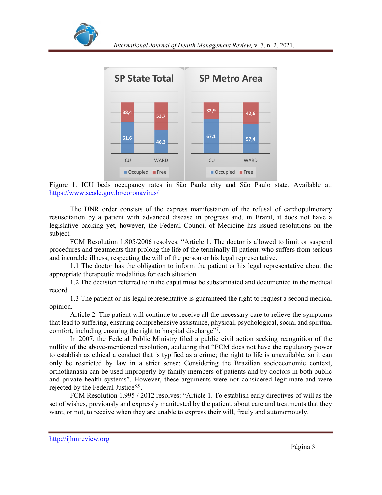



Figure 1. ICU beds occupancy rates in São Paulo city and São Paulo state. Available at: https://www.seade.gov.br/coronavirus/

 The DNR order consists of the express manifestation of the refusal of cardiopulmonary resuscitation by a patient with advanced disease in progress and, in Brazil, it does not have a legislative backing yet, however, the Federal Council of Medicine has issued resolutions on the subject.

FCM Resolution 1.805/2006 resolves: "Article 1. The doctor is allowed to limit or suspend procedures and treatments that prolong the life of the terminally ill patient, who suffers from serious and incurable illness, respecting the will of the person or his legal representative.

 1.1 The doctor has the obligation to inform the patient or his legal representative about the appropriate therapeutic modalities for each situation.

 1.2 The decision referred to in the caput must be substantiated and documented in the medical record.

 1.3 The patient or his legal representative is guaranteed the right to request a second medical opinion.

 Article 2. The patient will continue to receive all the necessary care to relieve the symptoms that lead to suffering, ensuring comprehensive assistance, physical, psychological, social and spiritual comfort, including ensuring the right to hospital discharge<sup>17</sup>. .

 In 2007, the Federal Public Ministry filed a public civil action seeking recognition of the nullity of the above-mentioned resolution, adducing that "FCM does not have the regulatory power to establish as ethical a conduct that is typified as a crime; the right to life is unavailable, so it can only be restricted by law in a strict sense; Considering the Brazilian socioeconomic context, orthothanasia can be used improperly by family members of patients and by doctors in both public and private health systems". However, these arguments were not considered legitimate and were rejected by the Federal Justice<sup>8,9</sup>.

. FCM Resolution 1.995 / 2012 resolves: "Article 1. To establish early directives of will as the set of wishes, previously and expressly manifested by the patient, about care and treatments that they want, or not, to receive when they are unable to express their will, freely and autonomously.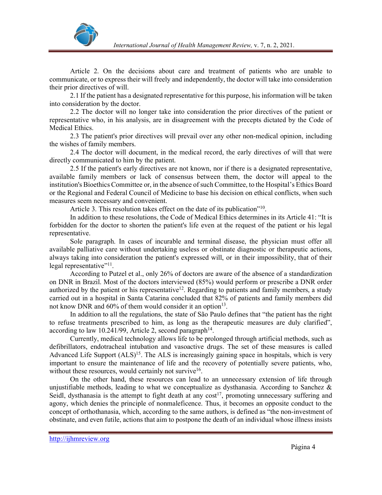

 Article 2. On the decisions about care and treatment of patients who are unable to communicate, or to express their will freely and independently, the doctor will take into consideration their prior directives of will.

 2.1 If the patient has a designated representative for this purpose, his information will be taken into consideration by the doctor.

 2.2 The doctor will no longer take into consideration the prior directives of the patient or representative who, in his analysis, are in disagreement with the precepts dictated by the Code of Medical Ethics.

 2.3 The patient's prior directives will prevail over any other non-medical opinion, including the wishes of family members.

 2.4 The doctor will document, in the medical record, the early directives of will that were directly communicated to him by the patient.

 2.5 If the patient's early directives are not known, nor if there is a designated representative, available family members or lack of consensus between them, the doctor will appeal to the institution's Bioethics Committee or, in the absence of such Committee, to the Hospital's Ethics Board or the Regional and Federal Council of Medicine to base his decision on ethical conflicts, when such measures seem necessary and convenient.

Article 3. This resolution takes effect on the date of its publication"<sup>10</sup>. .

 In addition to these resolutions, the Code of Medical Ethics determines in its Article 41: "It is forbidden for the doctor to shorten the patient's life even at the request of the patient or his legal representative.

 Sole paragraph. In cases of incurable and terminal disease, the physician must offer all available palliative care without undertaking useless or obstinate diagnostic or therapeutic actions, always taking into consideration the patient's expressed will, or in their impossibility, that of their legal representative $"^{11}$ . .

 According to Putzel et al., only 26% of doctors are aware of the absence of a standardization on DNR in Brazil. Most of the doctors interviewed (85%) would perform or prescribe a DNR order authorized by the patient or his representative<sup>12</sup>. Regarding to patients and family members, a study carried out in a hospital in Santa Catarina concluded that 82% of patients and family members did not know DNR and  $60\%$  of them would consider it an option<sup>13</sup>. .

 In addition to all the regulations, the state of São Paulo defines that "the patient has the right to refuse treatments prescribed to him, as long as the therapeutic measures are duly clarified", according to law 10.241/99, Article 2, second paragraph<sup>14</sup>. .

 Currently, medical technology allows life to be prolonged through artificial methods, such as defibrillators, endotracheal intubation and vasoactive drugs. The set of these measures is called Advanced Life Support  $(ALS)^{15}$ . The ALS is increasingly gaining space in hospitals, which is very important to ensure the maintenance of life and the recovery of potentially severe patients, who, without these resources, would certainly not survive<sup>16</sup>. .

 On the other hand, these resources can lead to an unnecessary extension of life through unjustifiable methods, leading to what we conceptualize as dysthanasia. According to Sanchez  $\&$ Seidl, dysthanasia is the attempt to fight death at any  $cost^{17}$ , promoting unnecessary suffering and agony, which denies the principle of nonmaleficence. Thus, it becomes an opposite conduct to the concept of orthothanasia, which, according to the same authors, is defined as "the non-investment of obstinate, and even futile, actions that aim to postpone the death of an individual whose illness insists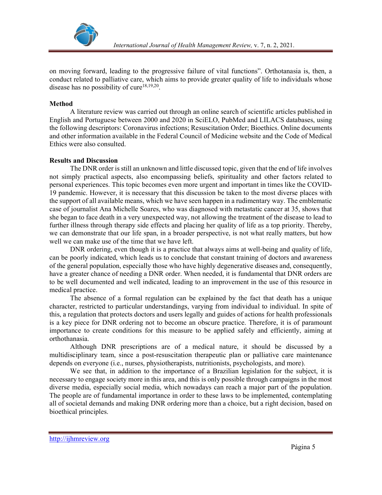

on moving forward, leading to the progressive failure of vital functions". Orthotanasia is, then, a conduct related to palliative care, which aims to provide greater quality of life to individuals whose disease has no possibility of cure<sup>18,19,20</sup>.

### Method

 A literature review was carried out through an online search of scientific articles published in English and Portuguese between 2000 and 2020 in SciELO, PubMed and LILACS databases, using the following descriptors: Coronavirus infections; Resuscitation Order; Bioethics. Online documents and other information available in the Federal Council of Medicine website and the Code of Medical Ethics were also consulted.

### Results and Discussion

 The DNR order is still an unknown and little discussed topic, given that the end of life involves not simply practical aspects, also encompassing beliefs, spirituality and other factors related to personal experiences. This topic becomes even more urgent and important in times like the COVID-19 pandemic. However, it is necessary that this discussion be taken to the most diverse places with the support of all available means, which we have seen happen in a rudimentary way. The emblematic case of journalist Ana Michelle Soares, who was diagnosed with metastatic cancer at 35, shows that she began to face death in a very unexpected way, not allowing the treatment of the disease to lead to further illness through therapy side effects and placing her quality of life as a top priority. Thereby, we can demonstrate that our life span, in a broader perspective, is not what really matters, but how well we can make use of the time that we have left.

 DNR ordering, even though it is a practice that always aims at well-being and quality of life, can be poorly indicated, which leads us to conclude that constant training of doctors and awareness of the general population, especially those who have highly degenerative diseases and, consequently, have a greater chance of needing a DNR order. When needed, it is fundamental that DNR orders are to be well documented and well indicated, leading to an improvement in the use of this resource in medical practice.

 The absence of a formal regulation can be explained by the fact that death has a unique character, restricted to particular understandings, varying from individual to individual. In spite of this, a regulation that protects doctors and users legally and guides of actions for health professionals is a key piece for DNR ordering not to become an obscure practice. Therefore, it is of paramount importance to create conditions for this measure to be applied safely and efficiently, aiming at orthothanasia.

 Although DNR prescriptions are of a medical nature, it should be discussed by a multidisciplinary team, since a post-resuscitation therapeutic plan or palliative care maintenance depends on everyone (i.e., nurses, physiotherapists, nutritionists, psychologists, and more).

 We see that, in addition to the importance of a Brazilian legislation for the subject, it is necessary to engage society more in this area, and this is only possible through campaigns in the most diverse media, especially social media, which nowadays can reach a major part of the population. The people are of fundamental importance in order to these laws to be implemented, contemplating all of societal demands and making DNR ordering more than a choice, but a right decision, based on bioethical principles.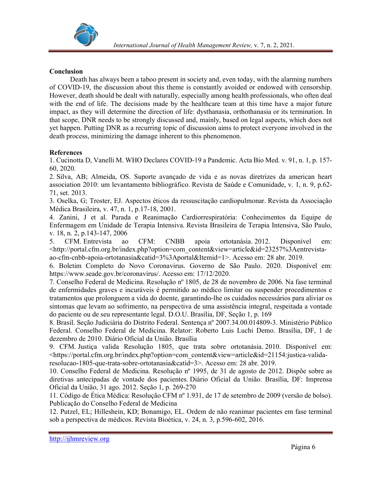

# Conclusion

 Death has always been a taboo present in society and, even today, with the alarming numbers of COVID-19, the discussion about this theme is constantly avoided or endowed with censorship. However, death should be dealt with naturally, especially among health professionals, who often deal with the end of life. The decisions made by the healthcare team at this time have a major future impact, as they will determine the direction of life: dysthanasia, orthothanasia or its termination. In that scope, DNR needs to be strongly discussed and, mainly, based on legal aspects, which does not yet happen. Putting DNR as a recurring topic of discussion aims to protect everyone involved in the death process, minimizing the damage inherent to this phenomenon.

# References

1. Cucinotta D, Vanelli M. WHO Declares COVID-19 a Pandemic. Acta Bio Med. v. 91, n. 1, p. 157- 60, 2020.

2. Silva, AB; Almeida, OS. Suporte avançado de vida e as novas diretrizes da american heart association 2010: um levantamento bibliográfico. Revista de Saúde e Comunidade, v. 1, n. 9, p.62- 71, set. 2013.

3. Oselka, G; Troster, EJ. Aspectos éticos da ressuscitação cardiopulmonar. Revista da Associação Médica Brasileira, v. 47, n. 1, p.17-18, 2001.

4. Zanini, J et al. Parada e Reanimação Cardiorrespiratória: Conhecimentos da Equipe de Enfermagem em Unidade de Terapia Intensiva. Revista Brasileira de Terapia Intensiva, São Paulo, v. 18, n. 2, p.143-147, 2006

5. CFM. Entrevista ao CFM: CNBB apoia ortotanásia. 2012. Disponível em: <http://portal.cfm.org.br/index.php?option=com\_content&view=article&id=23257%3Aentrevistaao-cfm-cnbb-apoia-ortotanasia&catid=3%3Aportal&Itemid=1>. Acesso em: 28 abr. 2019.

6. Boletim Completo do Novo Coronavirus. Governo de São Paulo. 2020. Disponível em: https://www.seade.gov.br/coronavirus/. Acesso em: 17/12/2020.

7. Conselho Federal de Medicina. Resolução nº 1805, de 28 de novembro de 2006. Na fase terminal de enfermidades graves e incuráveis é permitido ao médico limitar ou suspender procedimentos e tratamentos que prolonguem a vida do doente, garantindo-lhe os cuidados necessários para aliviar os sintomas que levam ao sofrimento, na perspectiva de uma assistência integral, respeitada a vontade do paciente ou de seu representante legal. D.O.U. Brasília, DF, Seção 1, p. 169

8. Brasil. Seção Judiciária do Distrito Federal. Sentença nº 2007.34.00.014809-3. Ministério Público Federal. Conselho Federal de Medicina. Relator: Roberto Luis Luchi Demo. Brasília, DF, 1 de dezembro de 2010. Diário Oficial da União. Brasília

9. CFM. Justiça valida Resolução 1805, que trata sobre ortotanásia. 2010. Disponível em: <https://portal.cfm.org.br/index.php?option=com\_content&view=article&id=21154:justica-validaresolucao-1805-que-trata-sobre-ortotanasia&catid=3>. Acesso em: 28 abr. 2019.

10. Conselho Federal de Medicina. Resolução nº 1995, de 31 de agosto de 2012. Dispõe sobre as diretivas antecipadas de vontade dos pacientes. Diário Oficial da União. Brasília, DF: Imprensa Oficial da União, 31 ago. 2012. Seção 1, p. 269-270

11. Código de Ética Médica: Resolução CFM nº 1.931, de 17 de setembro de 2009 (versão de bolso). Publicação do Conselho Federal de Medicina

12. Putzel, EL; Hilleshein, KD; Bonamigo, EL. Ordem de não reanimar pacientes em fase terminal sob a perspectiva de médicos. Revista Bioética, v. 24, n. 3, p.596-602, 2016.